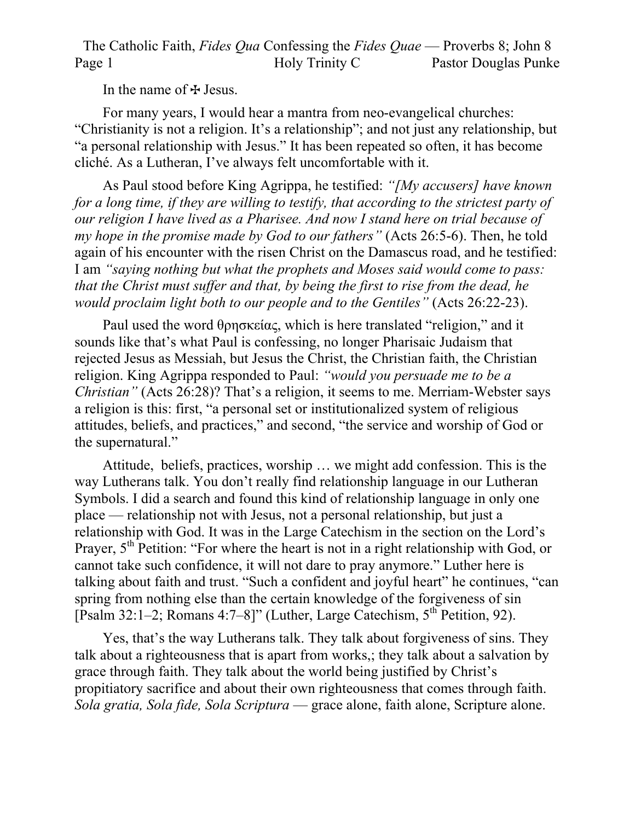The Catholic Faith, *Fides Qua* Confessing the *Fides Quae* — Proverbs 8; John 8 Page 1 Holy Trinity C Pastor Douglas Punke

In the name of  $\pm$  Jesus.

For many years, I would hear a mantra from neo-evangelical churches: "Christianity is not a religion. It's a relationship"; and not just any relationship, but "a personal relationship with Jesus." It has been repeated so often, it has become cliché. As a Lutheran, I've always felt uncomfortable with it.

As Paul stood before King Agrippa, he testified: *"[My accusers] have known for a long time, if they are willing to testify, that according to the strictest party of our religion I have lived as a Pharisee. And now I stand here on trial because of my hope in the promise made by God to our fathers"* (Acts 26:5-6). Then, he told again of his encounter with the risen Christ on the Damascus road, and he testified: I am *"saying nothing but what the prophets and Moses said would come to pass: that the Christ must suffer and that, by being the first to rise from the dead, he would proclaim light both to our people and to the Gentiles"* (Acts 26:22-23).

Paul used the word θρησκείας, which is here translated "religion," and it sounds like that's what Paul is confessing, no longer Pharisaic Judaism that rejected Jesus as Messiah, but Jesus the Christ, the Christian faith, the Christian religion. King Agrippa responded to Paul: *"would you persuade me to be a Christian"* (Acts 26:28)? That's a religion, it seems to me. Merriam-Webster says a religion is this: first, "a personal set or institutionalized system of religious attitudes, beliefs, and practices," and second, "the service and worship of God or the supernatural."

Attitude, beliefs, practices, worship … we might add confession. This is the way Lutherans talk. You don't really find relationship language in our Lutheran Symbols. I did a search and found this kind of relationship language in only one place — relationship not with Jesus, not a personal relationship, but just a relationship with God. It was in the Large Catechism in the section on the Lord's Prayer,  $5<sup>th</sup>$  Petition: "For where the heart is not in a right relationship with God, or cannot take such confidence, it will not dare to pray anymore." Luther here is talking about faith and trust. "Such a confident and joyful heart" he continues, "can spring from nothing else than the certain knowledge of the forgiveness of sin [Psalm 32:1–2; Romans 4:7–8]" (Luther, Large Catechism,  $5<sup>th</sup>$  Petition, 92).

Yes, that's the way Lutherans talk. They talk about forgiveness of sins. They talk about a righteousness that is apart from works,; they talk about a salvation by grace through faith. They talk about the world being justified by Christ's propitiatory sacrifice and about their own righteousness that comes through faith. *Sola gratia, Sola fide, Sola Scriptura* — grace alone, faith alone, Scripture alone.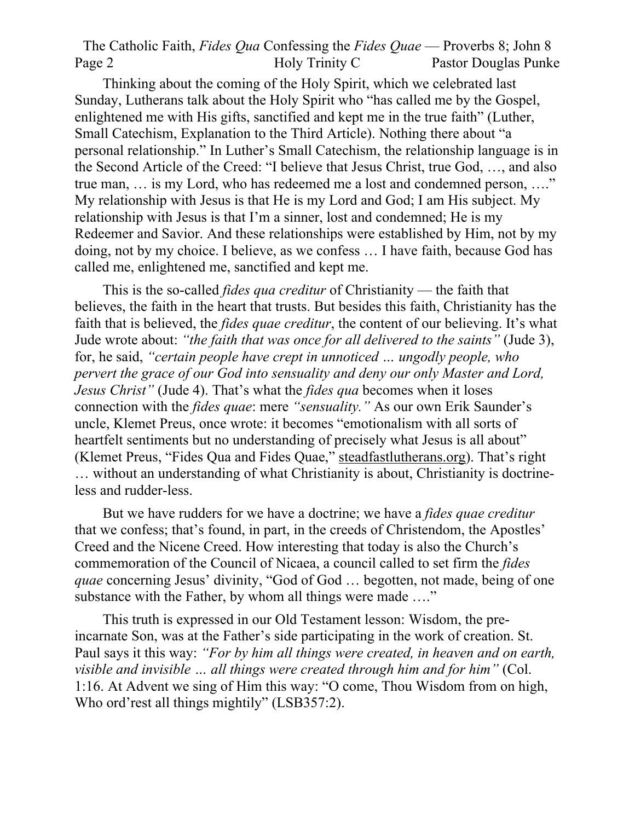The Catholic Faith, *Fides Qua* Confessing the *Fides Quae* — Proverbs 8; John 8 Page 2 Holy Trinity C Pastor Douglas Punke

Thinking about the coming of the Holy Spirit, which we celebrated last Sunday, Lutherans talk about the Holy Spirit who "has called me by the Gospel, enlightened me with His gifts, sanctified and kept me in the true faith" (Luther, Small Catechism, Explanation to the Third Article). Nothing there about "a personal relationship." In Luther's Small Catechism, the relationship language is in the Second Article of the Creed: "I believe that Jesus Christ, true God, …, and also true man, … is my Lord, who has redeemed me a lost and condemned person, …." My relationship with Jesus is that He is my Lord and God; I am His subject. My relationship with Jesus is that I'm a sinner, lost and condemned; He is my Redeemer and Savior. And these relationships were established by Him, not by my doing, not by my choice. I believe, as we confess … I have faith, because God has called me, enlightened me, sanctified and kept me.

This is the so-called *fides qua creditur* of Christianity — the faith that believes, the faith in the heart that trusts. But besides this faith, Christianity has the faith that is believed, the *fides quae creditur*, the content of our believing. It's what Jude wrote about: *"the faith that was once for all delivered to the saints"* (Jude 3), for, he said, *"certain people have crept in unnoticed … ungodly people, who pervert the grace of our God into sensuality and deny our only Master and Lord, Jesus Christ"* (Jude 4). That's what the *fides qua* becomes when it loses connection with the *fides quae*: mere *"sensuality."* As our own Erik Saunder's uncle, Klemet Preus, once wrote: it becomes "emotionalism with all sorts of heartfelt sentiments but no understanding of precisely what Jesus is all about" (Klemet Preus, "Fides Qua and Fides Quae," steadfastlutherans.org). That's right … without an understanding of what Christianity is about, Christianity is doctrineless and rudder-less.

But we have rudders for we have a doctrine; we have a *fides quae creditur* that we confess; that's found, in part, in the creeds of Christendom, the Apostles' Creed and the Nicene Creed. How interesting that today is also the Church's commemoration of the Council of Nicaea, a council called to set firm the *fides quae* concerning Jesus' divinity, "God of God … begotten, not made, being of one substance with the Father, by whom all things were made ...."

This truth is expressed in our Old Testament lesson: Wisdom, the preincarnate Son, was at the Father's side participating in the work of creation. St. Paul says it this way: *"For by him all things were created, in heaven and on earth, visible and invisible … all things were created through him and for him"* (Col. 1:16. At Advent we sing of Him this way: "O come, Thou Wisdom from on high, Who ord'rest all things mightily" (LSB357:2).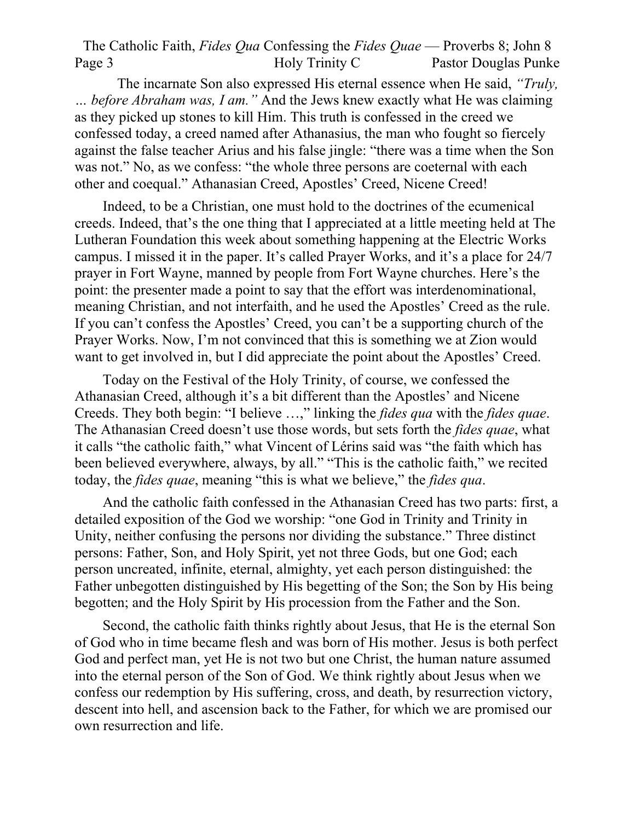The Catholic Faith, *Fides Qua* Confessing the *Fides Quae* — Proverbs 8; John 8 Page 3 Holy Trinity C Pastor Douglas Punke

The incarnate Son also expressed His eternal essence when He said, *"Truly, … before Abraham was, I am."* And the Jews knew exactly what He was claiming as they picked up stones to kill Him. This truth is confessed in the creed we confessed today, a creed named after Athanasius, the man who fought so fiercely against the false teacher Arius and his false jingle: "there was a time when the Son was not." No, as we confess: "the whole three persons are coeternal with each other and coequal." Athanasian Creed, Apostles' Creed, Nicene Creed!

Indeed, to be a Christian, one must hold to the doctrines of the ecumenical creeds. Indeed, that's the one thing that I appreciated at a little meeting held at The Lutheran Foundation this week about something happening at the Electric Works campus. I missed it in the paper. It's called Prayer Works, and it's a place for 24/7 prayer in Fort Wayne, manned by people from Fort Wayne churches. Here's the point: the presenter made a point to say that the effort was interdenominational, meaning Christian, and not interfaith, and he used the Apostles' Creed as the rule. If you can't confess the Apostles' Creed, you can't be a supporting church of the Prayer Works. Now, I'm not convinced that this is something we at Zion would want to get involved in, but I did appreciate the point about the Apostles' Creed.

Today on the Festival of the Holy Trinity, of course, we confessed the Athanasian Creed, although it's a bit different than the Apostles' and Nicene Creeds. They both begin: "I believe …," linking the *fides qua* with the *fides quae*. The Athanasian Creed doesn't use those words, but sets forth the *fides quae*, what it calls "the catholic faith," what Vincent of Lérins said was "the faith which has been believed everywhere, always, by all." "This is the catholic faith," we recited today, the *fides quae*, meaning "this is what we believe," the *fides qua*.

And the catholic faith confessed in the Athanasian Creed has two parts: first, a detailed exposition of the God we worship: "one God in Trinity and Trinity in Unity, neither confusing the persons nor dividing the substance." Three distinct persons: Father, Son, and Holy Spirit, yet not three Gods, but one God; each person uncreated, infinite, eternal, almighty, yet each person distinguished: the Father unbegotten distinguished by His begetting of the Son; the Son by His being begotten; and the Holy Spirit by His procession from the Father and the Son.

Second, the catholic faith thinks rightly about Jesus, that He is the eternal Son of God who in time became flesh and was born of His mother. Jesus is both perfect God and perfect man, yet He is not two but one Christ, the human nature assumed into the eternal person of the Son of God. We think rightly about Jesus when we confess our redemption by His suffering, cross, and death, by resurrection victory, descent into hell, and ascension back to the Father, for which we are promised our own resurrection and life.